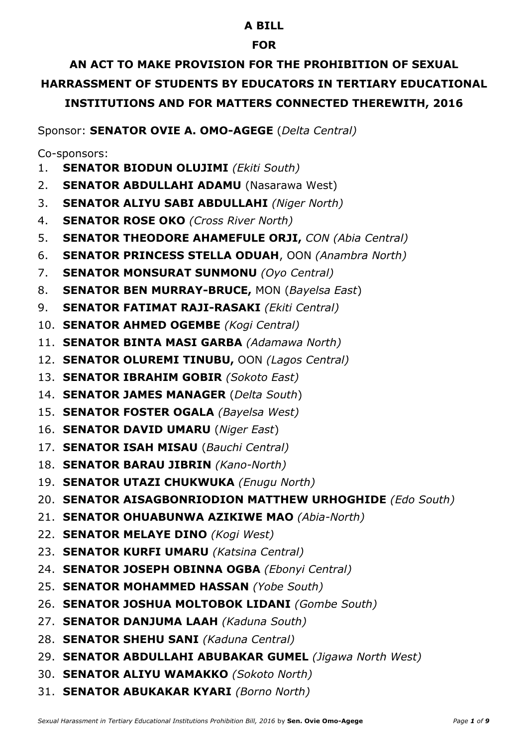### **A BILL**

# **FOR**

# **AN ACT TO MAKE PROVISION FOR THE PROHIBITION OF SEXUAL HARRASSMENT OF STUDENTS BY EDUCATORS IN TERTIARY EDUCATIONAL INSTITUTIONS AND FOR MATTERS CONNECTED THEREWITH, 2016**

Sponsor: **SENATOR OVIE A. OMO-AGEGE** (*Delta Central)*

Co-sponsors:

- 1. **SENATOR BIODUN OLUJIMI** *(Ekiti South)*
- 2. **SENATOR ABDULLAHI ADAMU** (Nasarawa West)
- 3. **SENATOR ALIYU SABI ABDULLAHI** *(Niger North)*
- 4. **SENATOR ROSE OKO** *(Cross River North)*
- 5. **SENATOR THEODORE AHAMEFULE ORJI,** *CON (Abia Central)*
- 6. **SENATOR PRINCESS STELLA ODUAH**, OON *(Anambra North)*
- 7. **SENATOR MONSURAT SUNMONU** *(Oyo Central)*
- 8. **SENATOR BEN MURRAY-BRUCE,** MON (*Bayelsa East*)
- 9. **SENATOR FATIMAT RAJI-RASAKI** *(Ekiti Central)*
- 10. **SENATOR AHMED OGEMBE** *(Kogi Central)*
- 11. **SENATOR BINTA MASI GARBA** *(Adamawa North)*
- 12. **SENATOR OLUREMI TINUBU,** OON *(Lagos Central)*
- 13. **SENATOR IBRAHIM GOBIR** *(Sokoto East)*
- 14. **SENATOR JAMES MANAGER** (*Delta South*)
- 15. **SENATOR FOSTER OGALA** *(Bayelsa West)*
- 16. **SENATOR DAVID UMARU** (*Niger East*)
- 17. **SENATOR ISAH MISAU** (*Bauchi Central)*
- 18. **SENATOR BARAU JIBRIN** *(Kano-North)*
- 19. **SENATOR UTAZI CHUKWUKA** *(Enugu North)*
- 20. **SENATOR AISAGBONRIODION MATTHEW URHOGHIDE** *(Edo South)*
- 21. **SENATOR OHUABUNWA AZIKIWE MAO** *(Abia-North)*
- 22. **SENATOR MELAYE DINO** *(Kogi West)*
- 23. **SENATOR KURFI UMARU** *(Katsina Central)*
- 24. **SENATOR JOSEPH OBINNA OGBA** *(Ebonyi Central)*
- 25. **SENATOR MOHAMMED HASSAN** *(Yobe South)*
- 26. **SENATOR JOSHUA MOLTOBOK LIDANI** *(Gombe South)*
- 27. **SENATOR DANJUMA LAAH** *(Kaduna South)*
- 28. **SENATOR SHEHU SANI** *(Kaduna Central)*
- 29. **SENATOR ABDULLAHI ABUBAKAR GUMEL** *(Jigawa North West)*
- 30. **SENATOR ALIYU WAMAKKO** *(Sokoto North)*
- 31. **SENATOR ABUKAKAR KYARI** *(Borno North)*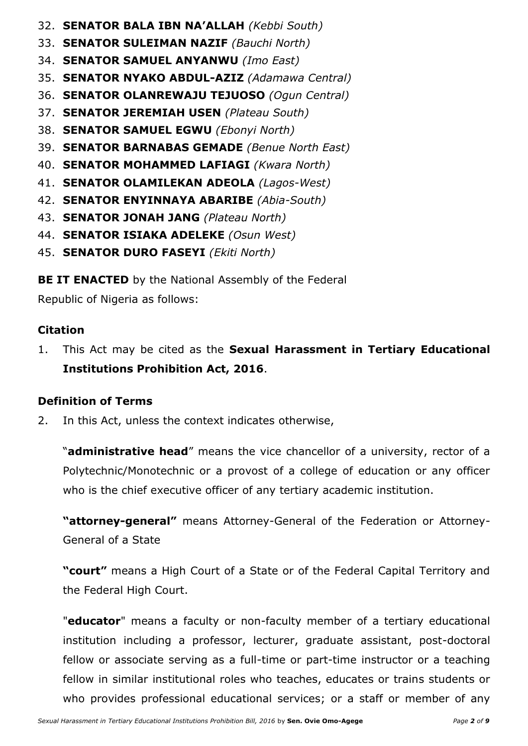- 32. **SENATOR BALA IBN NA'ALLAH** *(Kebbi South)*
- 33. **SENATOR SULEIMAN NAZIF** *(Bauchi North)*
- 34. **SENATOR SAMUEL ANYANWU** *(Imo East)*
- 35. **SENATOR NYAKO ABDUL-AZIZ** *(Adamawa Central)*
- 36. **SENATOR OLANREWAJU TEJUOSO** *(Ogun Central)*
- 37. **SENATOR JEREMIAH USEN** *(Plateau South)*
- 38. **SENATOR SAMUEL EGWU** *(Ebonyi North)*
- 39. **SENATOR BARNABAS GEMADE** *(Benue North East)*
- 40. **SENATOR MOHAMMED LAFIAGI** *(Kwara North)*
- 41. **SENATOR OLAMILEKAN ADEOLA** *(Lagos-West)*
- 42. **SENATOR ENYINNAYA ABARIBE** *(Abia-South)*
- 43. **SENATOR JONAH JANG** *(Plateau North)*
- 44. **SENATOR ISIAKA ADELEKE** *(Osun West)*
- 45. **SENATOR DURO FASEYI** *(Ekiti North)*

**BE IT ENACTED** by the National Assembly of the Federal

Republic of Nigeria as follows:

# **Citation**

1. This Act may be cited as the **Sexual Harassment in Tertiary Educational Institutions Prohibition Act, 2016**.

### **Definition of Terms**

2. In this Act, unless the context indicates otherwise,

"**administrative head**" means the vice chancellor of a university, rector of a Polytechnic/Monotechnic or a provost of a college of education or any officer who is the chief executive officer of any tertiary academic institution.

**"attorney-general"** means Attorney-General of the Federation or Attorney-General of a State

**"court"** means a High Court of a State or of the Federal Capital Territory and the Federal High Court.

"**educator**" means a faculty or non-faculty member of a tertiary educational institution including a professor, lecturer, graduate assistant, post-doctoral fellow or associate serving as a full-time or part-time instructor or a teaching fellow in similar institutional roles who teaches, educates or trains students or who provides professional educational services; or a staff or member of any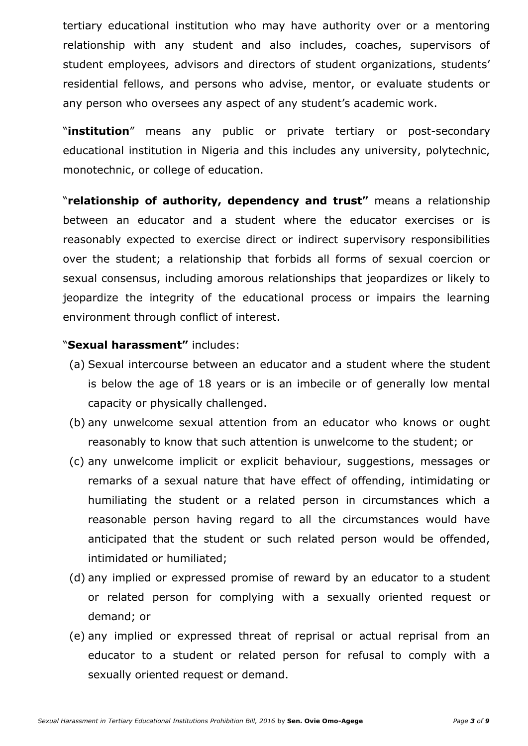tertiary educational institution who may have authority over or a mentoring relationship with any student and also includes, coaches, supervisors of student employees, advisors and directors of student organizations, students' residential fellows, and persons who advise, mentor, or evaluate students or any person who oversees any aspect of any student's academic work.

"**institution**" means any public or private tertiary or post-secondary educational institution in Nigeria and this includes any university, polytechnic, monotechnic, or college of education.

"**relationship of authority, dependency and trust"** means a relationship between an educator and a student where the educator exercises or is reasonably expected to exercise direct or indirect supervisory responsibilities over the student; a relationship that forbids all forms of sexual coercion or sexual consensus, including amorous relationships that jeopardizes or likely to jeopardize the integrity of the educational process or impairs the learning environment through conflict of interest.

### "**Sexual harassment"** includes:

- (a) Sexual intercourse between an educator and a student where the student is below the age of 18 years or is an imbecile or of generally low mental capacity or physically challenged.
- (b) any unwelcome sexual attention from an educator who knows or ought reasonably to know that such attention is unwelcome to the student; or
- (c) any unwelcome implicit or explicit behaviour, suggestions, messages or remarks of a sexual nature that have effect of offending, intimidating or humiliating the student or a related person in circumstances which a reasonable person having regard to all the circumstances would have anticipated that the student or such related person would be offended, intimidated or humiliated;
- (d) any implied or expressed promise of reward by an educator to a student or related person for complying with a sexually oriented request or demand; or
- (e) any implied or expressed threat of reprisal or actual reprisal from an educator to a student or related person for refusal to comply with a sexually oriented request or demand.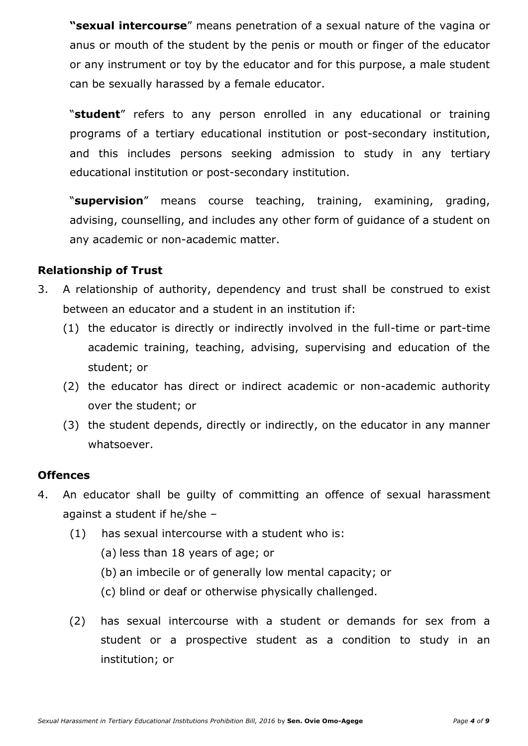**"sexual intercourse**" means penetration of a sexual nature of the vagina or anus or mouth of the student by the penis or mouth or finger of the educator or any instrument or toy by the educator and for this purpose, a male student can be sexually harassed by a female educator.

"**student**" refers to any person enrolled in any educational or training programs of a tertiary educational institution or post-secondary institution, and this includes persons seeking admission to study in any tertiary educational institution or post-secondary institution.

"**supervision**" means course teaching, training, examining, grading, advising, counselling, and includes any other form of guidance of a student on any academic or non-academic matter.

# **Relationship of Trust**

- 3. A relationship of authority, dependency and trust shall be construed to exist between an educator and a student in an institution if:
	- (1) the educator is directly or indirectly involved in the full-time or part-time academic training, teaching, advising, supervising and education of the student; or
	- (2) the educator has direct or indirect academic or non-academic authority over the student; or
	- (3) the student depends, directly or indirectly, on the educator in any manner whatsoever.

### **Offences**

- 4. An educator shall be guilty of committing an offence of sexual harassment against a student if he/she –
	- (1) has sexual intercourse with a student who is:
		- (a) less than 18 years of age; or
		- (b) an imbecile or of generally low mental capacity; or
		- (c) blind or deaf or otherwise physically challenged.
	- (2) has sexual intercourse with a student or demands for sex from a student or a prospective student as a condition to study in an institution; or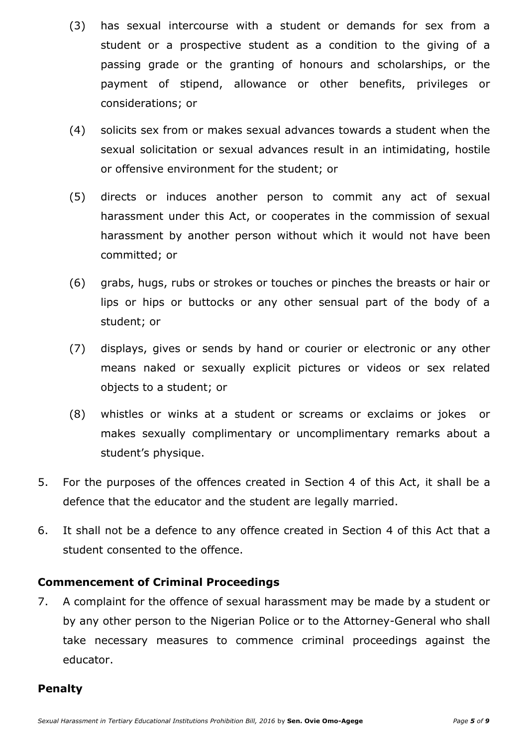- (3) has sexual intercourse with a student or demands for sex from a student or a prospective student as a condition to the giving of a passing grade or the granting of honours and scholarships, or the payment of stipend, allowance or other benefits, privileges or considerations; or
- (4) solicits sex from or makes sexual advances towards a student when the sexual solicitation or sexual advances result in an intimidating, hostile or offensive environment for the student; or
- (5) directs or induces another person to commit any act of sexual harassment under this Act, or cooperates in the commission of sexual harassment by another person without which it would not have been committed; or
- (6) grabs, hugs, rubs or strokes or touches or pinches the breasts or hair or lips or hips or buttocks or any other sensual part of the body of a student; or
- (7) displays, gives or sends by hand or courier or electronic or any other means naked or sexually explicit pictures or videos or sex related objects to a student; or
- (8) whistles or winks at a student or screams or exclaims or jokes or makes sexually complimentary or uncomplimentary remarks about a student's physique.
- 5. For the purposes of the offences created in Section 4 of this Act, it shall be a defence that the educator and the student are legally married.
- 6. It shall not be a defence to any offence created in Section 4 of this Act that a student consented to the offence.

### **Commencement of Criminal Proceedings**

7. A complaint for the offence of sexual harassment may be made by a student or by any other person to the Nigerian Police or to the Attorney-General who shall take necessary measures to commence criminal proceedings against the educator.

#### **Penalty**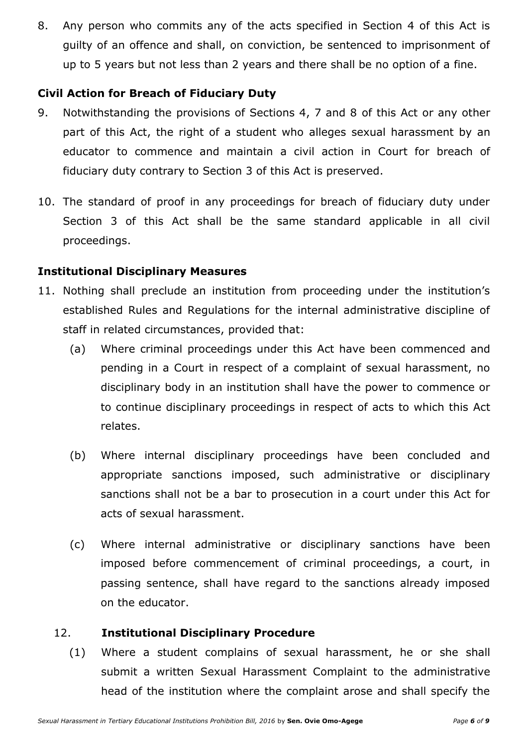8. Any person who commits any of the acts specified in Section 4 of this Act is guilty of an offence and shall, on conviction, be sentenced to imprisonment of up to 5 years but not less than 2 years and there shall be no option of a fine.

# **Civil Action for Breach of Fiduciary Duty**

- 9. Notwithstanding the provisions of Sections 4, 7 and 8 of this Act or any other part of this Act, the right of a student who alleges sexual harassment by an educator to commence and maintain a civil action in Court for breach of fiduciary duty contrary to Section 3 of this Act is preserved.
- 10. The standard of proof in any proceedings for breach of fiduciary duty under Section 3 of this Act shall be the same standard applicable in all civil proceedings.

# **Institutional Disciplinary Measures**

- 11. Nothing shall preclude an institution from proceeding under the institution's established Rules and Regulations for the internal administrative discipline of staff in related circumstances, provided that:
	- (a) Where criminal proceedings under this Act have been commenced and pending in a Court in respect of a complaint of sexual harassment, no disciplinary body in an institution shall have the power to commence or to continue disciplinary proceedings in respect of acts to which this Act relates.
	- (b) Where internal disciplinary proceedings have been concluded and appropriate sanctions imposed, such administrative or disciplinary sanctions shall not be a bar to prosecution in a court under this Act for acts of sexual harassment.
	- (c) Where internal administrative or disciplinary sanctions have been imposed before commencement of criminal proceedings, a court, in passing sentence, shall have regard to the sanctions already imposed on the educator.

# 12. **Institutional Disciplinary Procedure**

(1) Where a student complains of sexual harassment, he or she shall submit a written Sexual Harassment Complaint to the administrative head of the institution where the complaint arose and shall specify the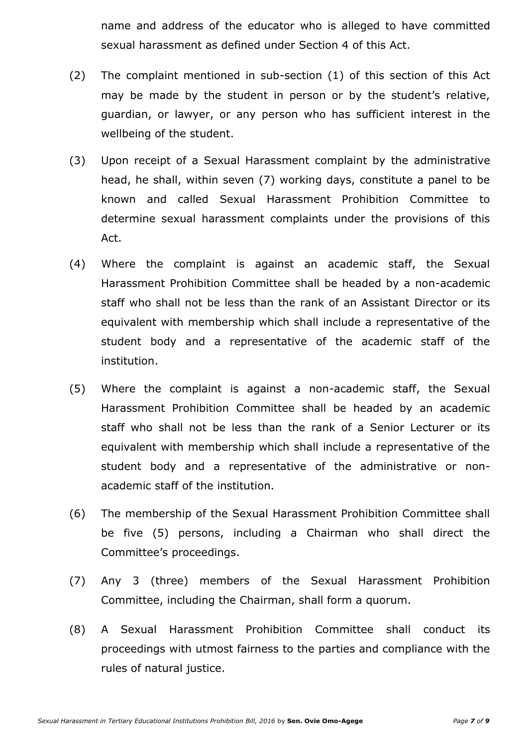name and address of the educator who is alleged to have committed sexual harassment as defined under Section 4 of this Act.

- (2) The complaint mentioned in sub-section (1) of this section of this Act may be made by the student in person or by the student's relative, guardian, or lawyer, or any person who has sufficient interest in the wellbeing of the student.
- (3) Upon receipt of a Sexual Harassment complaint by the administrative head, he shall, within seven (7) working days, constitute a panel to be known and called Sexual Harassment Prohibition Committee to determine sexual harassment complaints under the provisions of this Act.
- (4) Where the complaint is against an academic staff, the Sexual Harassment Prohibition Committee shall be headed by a non-academic staff who shall not be less than the rank of an Assistant Director or its equivalent with membership which shall include a representative of the student body and a representative of the academic staff of the institution.
- (5) Where the complaint is against a non-academic staff, the Sexual Harassment Prohibition Committee shall be headed by an academic staff who shall not be less than the rank of a Senior Lecturer or its equivalent with membership which shall include a representative of the student body and a representative of the administrative or nonacademic staff of the institution.
- (6) The membership of the Sexual Harassment Prohibition Committee shall be five (5) persons, including a Chairman who shall direct the Committee's proceedings.
- (7) Any 3 (three) members of the Sexual Harassment Prohibition Committee, including the Chairman, shall form a quorum.
- (8) A Sexual Harassment Prohibition Committee shall conduct its proceedings with utmost fairness to the parties and compliance with the rules of natural justice.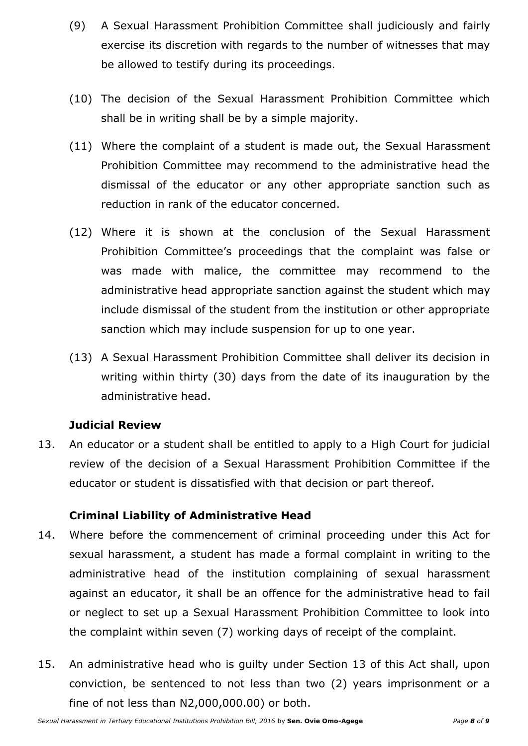- (9) A Sexual Harassment Prohibition Committee shall judiciously and fairly exercise its discretion with regards to the number of witnesses that may be allowed to testify during its proceedings.
- (10) The decision of the Sexual Harassment Prohibition Committee which shall be in writing shall be by a simple majority.
- (11) Where the complaint of a student is made out, the Sexual Harassment Prohibition Committee may recommend to the administrative head the dismissal of the educator or any other appropriate sanction such as reduction in rank of the educator concerned.
- (12) Where it is shown at the conclusion of the Sexual Harassment Prohibition Committee's proceedings that the complaint was false or was made with malice, the committee may recommend to the administrative head appropriate sanction against the student which may include dismissal of the student from the institution or other appropriate sanction which may include suspension for up to one year.
- (13) A Sexual Harassment Prohibition Committee shall deliver its decision in writing within thirty (30) days from the date of its inauguration by the administrative head.

# **Judicial Review**

13. An educator or a student shall be entitled to apply to a High Court for judicial review of the decision of a Sexual Harassment Prohibition Committee if the educator or student is dissatisfied with that decision or part thereof.

# **Criminal Liability of Administrative Head**

- 14. Where before the commencement of criminal proceeding under this Act for sexual harassment, a student has made a formal complaint in writing to the administrative head of the institution complaining of sexual harassment against an educator, it shall be an offence for the administrative head to fail or neglect to set up a Sexual Harassment Prohibition Committee to look into the complaint within seven (7) working days of receipt of the complaint.
- 15. An administrative head who is guilty under Section 13 of this Act shall, upon conviction, be sentenced to not less than two (2) years imprisonment or a fine of not less than N2,000,000.00) or both.